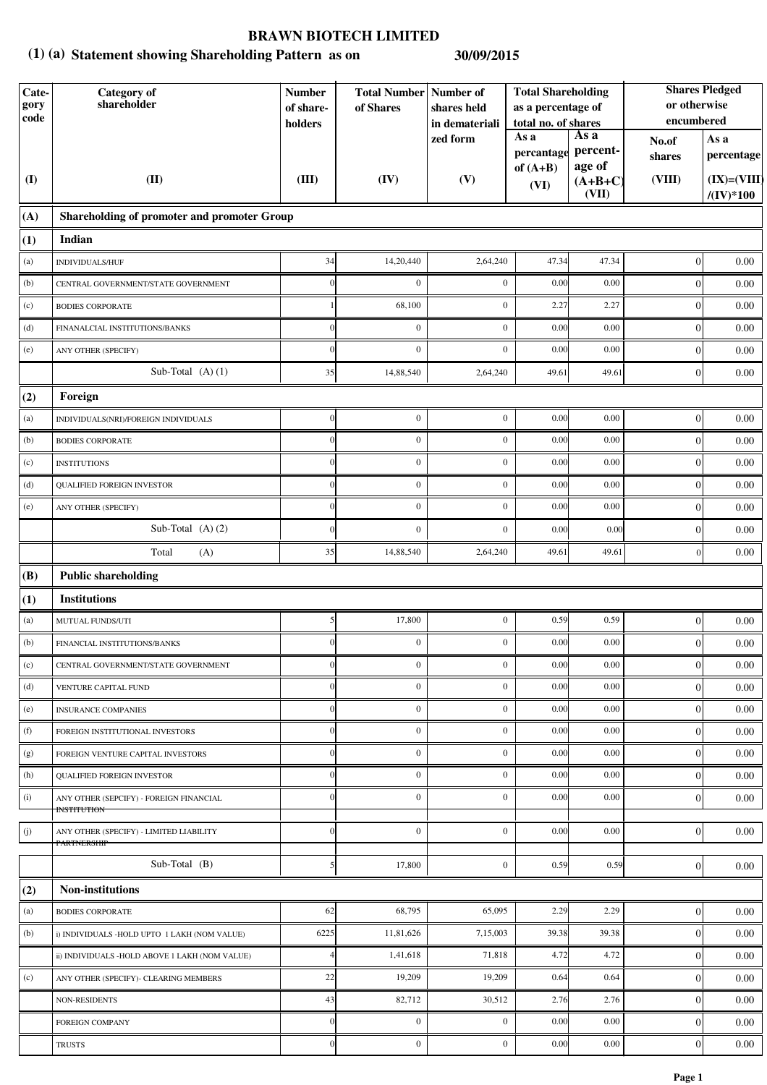## **BRAWN BIOTECH LIMITED**

## **Statement showing Shareholding Pattern as on (1) (a) 30/09/2015**

| Cate-<br>gory<br>code | Category of<br>shareholder                                    | <b>Number</b><br>of share-<br>holders | <b>Total Number Number of</b><br>of Shares | shares held<br>in demateriali | <b>Total Shareholding</b><br>as a percentage of<br>total no. of shares<br>As a<br>As a |                                          | <b>Shares Pledged</b><br>or otherwise<br>encumbered |                                     |
|-----------------------|---------------------------------------------------------------|---------------------------------------|--------------------------------------------|-------------------------------|----------------------------------------------------------------------------------------|------------------------------------------|-----------------------------------------------------|-------------------------------------|
| $\mathbf{I}$          | (II)                                                          | (III)                                 | (IV)                                       | zed form<br>(V)               | percantage<br>of $(A+B)$<br>(VI)                                                       | percent-<br>age of<br>$(A+B+C)$<br>(VII) | No.of<br>shares<br>(VIII)                           | As a<br>percentage<br>$(IX)=(VIII)$ |
| (A)                   | Shareholding of promoter and promoter Group                   |                                       |                                            |                               |                                                                                        |                                          |                                                     | $/(\mathrm{IV})*100$                |
| (1)                   | Indian                                                        |                                       |                                            |                               |                                                                                        |                                          |                                                     |                                     |
| (a)                   | INDIVIDUALS/HUF                                               | 34                                    | 14,20,440                                  | 2,64,240                      | 47.34                                                                                  | 47.34                                    | $\boldsymbol{0}$                                    | 0.00                                |
| (b)                   | CENTRAL GOVERNMENT/STATE GOVERNMENT                           | $\Omega$                              | $\mathbf{0}$                               | $\boldsymbol{0}$              | 0.00                                                                                   | 0.00                                     | $\boldsymbol{0}$                                    | 0.00                                |
| (c)                   | <b>BODIES CORPORATE</b>                                       |                                       | 68,100                                     | $\mathbf{0}$                  | 2.27                                                                                   | 2.27                                     | $\boldsymbol{0}$                                    | 0.00                                |
| (d)                   | FINANALCIAL INSTITUTIONS/BANKS                                |                                       | $\overline{0}$                             | $\mathbf{0}$                  | 0.00                                                                                   | 0.00                                     | $\boldsymbol{0}$                                    | 0.00                                |
| (e)                   | ANY OTHER (SPECIFY)                                           |                                       | $\boldsymbol{0}$                           | $\mathbf{0}$                  | 0.00                                                                                   | 0.00                                     | $\boldsymbol{0}$                                    | 0.00                                |
|                       | Sub-Total $(A)$ $(1)$                                         | 35                                    | 14,88,540                                  | 2,64,240                      | 49.61                                                                                  | 49.61                                    | $\boldsymbol{0}$                                    | 0.00                                |
| (2)                   | Foreign                                                       |                                       |                                            |                               |                                                                                        |                                          |                                                     |                                     |
| (a)                   | INDIVIDUALS(NRI)/FOREIGN INDIVIDUALS                          |                                       | $\boldsymbol{0}$                           | $\boldsymbol{0}$              | 0.00                                                                                   | 0.00                                     | $\boldsymbol{0}$                                    | 0.00                                |
| (b)                   | <b>BODIES CORPORATE</b>                                       |                                       | $\boldsymbol{0}$                           | $\boldsymbol{0}$              | 0.00                                                                                   | 0.00                                     | $\boldsymbol{0}$                                    | 0.00                                |
| (c)                   | <b>INSTITUTIONS</b>                                           |                                       | $\mathbf{0}$                               | $\mathbf{0}$                  | 0.00                                                                                   | 0.00                                     | $\boldsymbol{0}$                                    | 0.00                                |
| (d)                   | <b>QUALIFIED FOREIGN INVESTOR</b>                             | $\Omega$                              | $\mathbf{0}$                               | $\mathbf{0}$                  | 0.00                                                                                   | 0.00                                     | $\boldsymbol{0}$                                    | 0.00                                |
| (e)                   | ANY OTHER (SPECIFY)                                           | $\Omega$                              | $\mathbf{0}$                               | $\mathbf{0}$                  | 0.00                                                                                   | 0.00                                     | $\boldsymbol{0}$                                    | 0.00                                |
|                       | Sub-Total (A)(2)                                              | $\overline{0}$                        | $\mathbf{0}$                               | $\mathbf{0}$                  | 0.00                                                                                   | 0.00                                     | $\boldsymbol{0}$                                    | 0.00                                |
|                       | Total<br>(A)                                                  | 35                                    | 14,88,540                                  | 2,64,240                      | 49.61                                                                                  | 49.61                                    | $\mathbf{0}$                                        | 0.00                                |
| (B)                   | <b>Public shareholding</b>                                    |                                       |                                            |                               |                                                                                        |                                          |                                                     |                                     |
| (1)                   | <b>Institutions</b>                                           |                                       |                                            |                               |                                                                                        |                                          |                                                     |                                     |
| (a)                   | MUTUAL FUNDS/UTI                                              | $\mathfrak{S}$                        | 17,800                                     | $\boldsymbol{0}$              | 0.59                                                                                   | 0.59                                     | $\boldsymbol{0}$                                    | $0.00\,$                            |
| (b)                   | FINANCIAL INSTITUTIONS/BANKS                                  |                                       | $\mathbf{0}$                               | $\boldsymbol{0}$              | 0.00                                                                                   | 0.00                                     | $\mathbf{0}$                                        | 0.00                                |
| (c)                   | CENTRAL GOVERNMENT/STATE GOVERNMENT                           | $\overline{0}$                        | $\boldsymbol{0}$                           | $\boldsymbol{0}$              | 0.00                                                                                   | 0.00                                     | 0                                                   | 0.00                                |
| (d)                   | VENTURE CAPITAL FUND                                          |                                       | $\boldsymbol{0}$                           | $\mathbf{0}$                  | 0.00                                                                                   | 0.00                                     | $\mathbf{0}$                                        | 0.00                                |
| (e)                   | <b>INSURANCE COMPANIES</b>                                    |                                       | $\boldsymbol{0}$                           | $\boldsymbol{0}$              | 0.00                                                                                   | 0.00                                     | $\mathbf{0}$                                        | 0.00                                |
| (f)                   | FOREIGN INSTITUTIONAL INVESTORS                               | $\Omega$                              | $\mathbf{0}$                               | $\mathbf{0}$                  | 0.00                                                                                   | 0.00                                     | $\boldsymbol{0}$                                    | 0.00                                |
| (g)                   | FOREIGN VENTURE CAPITAL INVESTORS                             | $\Omega$                              | $\boldsymbol{0}$                           | $\mathbf{0}$                  | 0.00                                                                                   | 0.00                                     | $\boldsymbol{0}$                                    | 0.00                                |
| (h)                   | <b>QUALIFIED FOREIGN INVESTOR</b>                             | $\Omega$                              | $\mathbf{0}$                               | $\mathbf{0}$                  | 0.00                                                                                   | 0.00                                     | $\mathbf{0}$                                        | 0.00                                |
| (i)                   | ANY OTHER (SEPCIFY) - FOREIGN FINANCIAL<br><b>INSTITUTION</b> |                                       | $\boldsymbol{0}$                           | $\mathbf{0}$                  | 0.00                                                                                   | 0.00                                     | $\mathbf{0}$                                        | 0.00                                |
| (j)                   | ANY OTHER (SPECIFY) - LIMITED LIABILITY<br>PARTNERSHIP        | $\Omega$                              | $\mathbf{0}$                               | $\mathbf{0}$                  | 0.00                                                                                   | 0.00                                     | $\overline{0}$                                      | 0.00                                |
|                       | Sub-Total $(B)$                                               | 5                                     | 17,800                                     | $\boldsymbol{0}$              | 0.59                                                                                   | 0.59                                     | $\boldsymbol{0}$                                    | 0.00                                |
| (2)                   | Non-institutions                                              |                                       |                                            |                               |                                                                                        |                                          |                                                     |                                     |
| (a)                   | <b>BODIES CORPORATE</b>                                       | 62                                    | 68,795                                     | 65,095                        | 2.29                                                                                   | 2.29                                     | $\boldsymbol{0}$                                    | 0.00                                |
| (b)                   | i) INDIVIDUALS -HOLD UPTO 1 LAKH (NOM VALUE)                  | 6225                                  | 11,81,626                                  | 7,15,003                      | 39.38                                                                                  | 39.38                                    | $\mathbf{0}$                                        | 0.00                                |
|                       | ii) INDIVIDUALS -HOLD ABOVE 1 LAKH (NOM VALUE)                |                                       | 1,41,618                                   | 71,818                        | 4.72                                                                                   | 4.72                                     | $\theta$                                            | 0.00                                |
| (c)                   | ANY OTHER (SPECIFY)- CLEARING MEMBERS                         | 22                                    | 19,209                                     | 19,209                        | 0.64                                                                                   | 0.64                                     | $\boldsymbol{0}$                                    | 0.00                                |
|                       | NON-RESIDENTS                                                 | 43                                    | 82,712                                     | 30,512                        | 2.76                                                                                   | 2.76                                     | $\boldsymbol{0}$                                    | 0.00                                |
|                       | <b>FOREIGN COMPANY</b>                                        | $\Omega$                              | $\mathbf{0}$                               | $\mathbf{0}$                  | 0.00                                                                                   | 0.00                                     | $\boldsymbol{0}$                                    | 0.00                                |
|                       | <b>TRUSTS</b>                                                 | $\theta$                              | $\boldsymbol{0}$                           | $\boldsymbol{0}$              | 0.00                                                                                   | 0.00                                     | $\boldsymbol{0}$                                    | $0.00\,$                            |